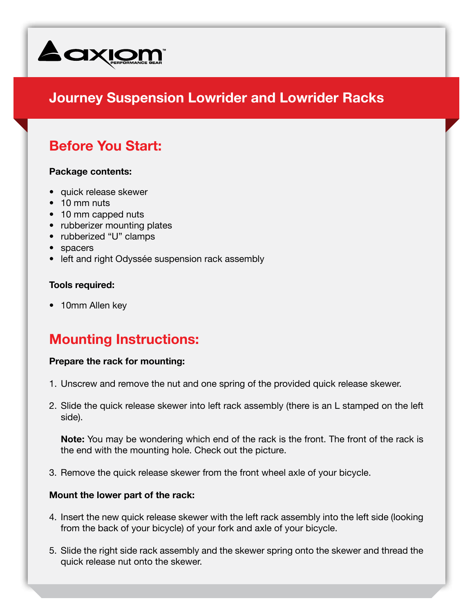

# **Journey Suspension Lowrider and Lowrider Racks**

## **Before You Start:**

#### **Package contents:**

- quick release skewer
- 10 mm nuts
- 10 mm capped nuts
- rubberizer mounting plates
- rubberized "U" clamps
- • spacers
- left and right Odyssée suspension rack assembly

### **Tools required:**

• 10mm Allen key

## **Mounting Instructions:**

#### **Prepare the rack for mounting:**

- 1. Unscrew and remove the nut and one spring of the provided quick release skewer.
- 2. Slide the quick release skewer into left rack assembly (there is an L stamped on the left side).

**Note:** You may be wondering which end of the rack is the front. The front of the rack is the end with the mounting hole. Check out the picture.

3. Remove the quick release skewer from the front wheel axle of your bicycle.

### **Mount the lower part of the rack:**

- 4. Insert the new quick release skewer with the left rack assembly into the left side (looking from the back of your bicycle) of your fork and axle of your bicycle.
- 5. Slide the right side rack assembly and the skewer spring onto the skewer and thread the quick release nut onto the skewer.